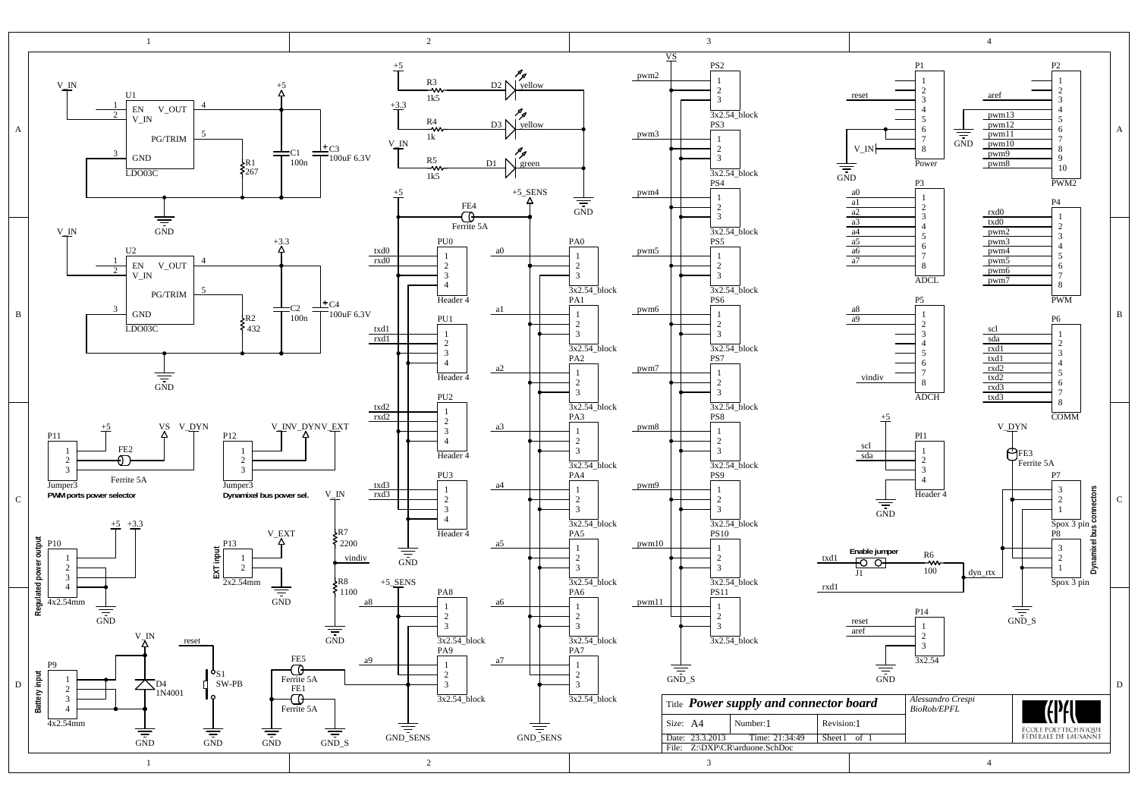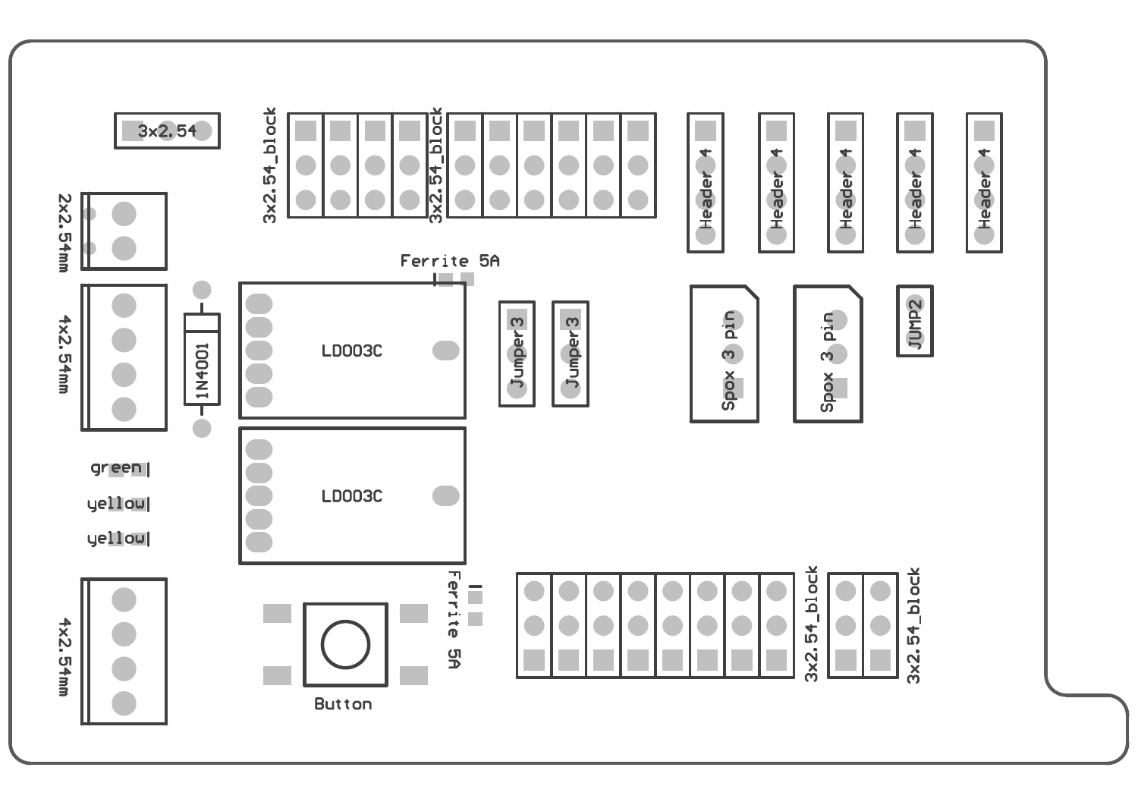